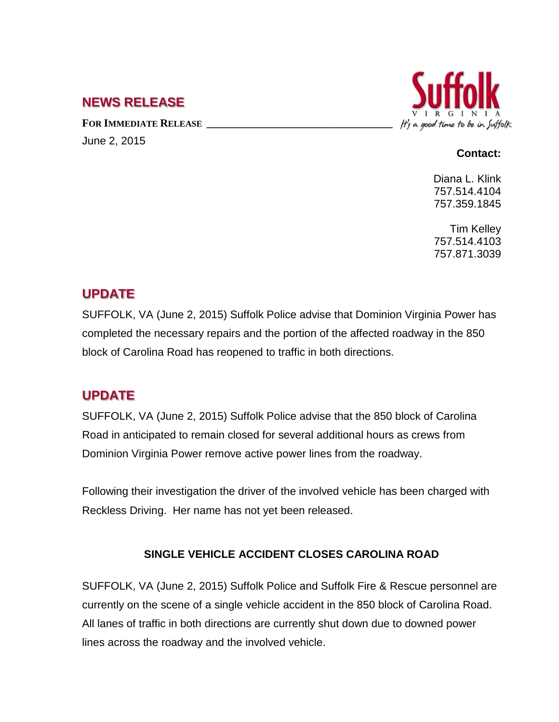## **NEWS RELEASE**

FOR **IMMEDIATE RELEASE** June 2, 2015



#### **Contact:**

Diana L. Klink 757.514.4104 757.359.1845

Tim Kelley 757.514.4103 757.871.3039

### **UPDATE**

SUFFOLK, VA (June 2, 2015) Suffolk Police advise that Dominion Virginia Power has completed the necessary repairs and the portion of the affected roadway in the 850 block of Carolina Road has reopened to traffic in both directions.

# **UPDATE**

SUFFOLK, VA (June 2, 2015) Suffolk Police advise that the 850 block of Carolina Road in anticipated to remain closed for several additional hours as crews from Dominion Virginia Power remove active power lines from the roadway.

Following their investigation the driver of the involved vehicle has been charged with Reckless Driving. Her name has not yet been released.

### **SINGLE VEHICLE ACCIDENT CLOSES CAROLINA ROAD**

SUFFOLK, VA (June 2, 2015) Suffolk Police and Suffolk Fire & Rescue personnel are currently on the scene of a single vehicle accident in the 850 block of Carolina Road. All lanes of traffic in both directions are currently shut down due to downed power lines across the roadway and the involved vehicle.